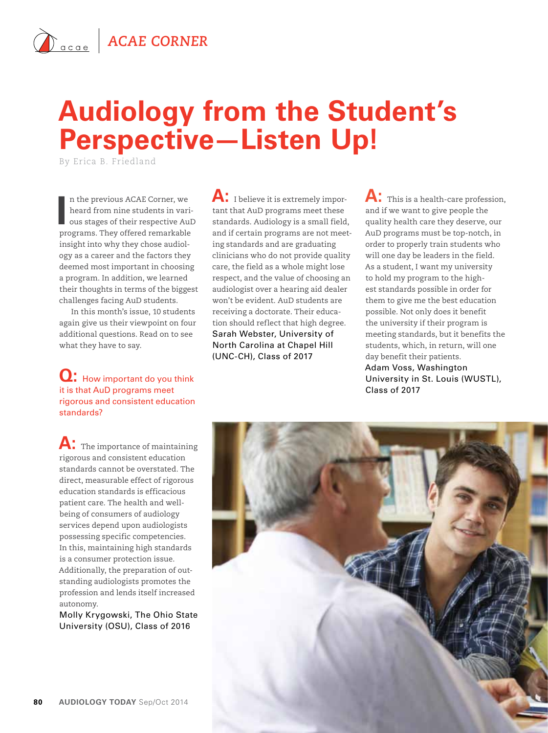## $\hat{A}_{\text{acge}}$  **ACAE CORNER**

# **Audiology from the Student's Perspective—Listen Up!**

By Erica B. Friedland

In the previous ACAE Corner, we heard from nine students in various stages of their respective AuI programs. They offered remarkable n the previous ACAE Corner, we heard from nine students in various stages of their respective AuD insight into why they chose audiology as a career and the factors they deemed most important in choosing a program. In addition, we learned their thoughts in terms of the biggest challenges facing AuD students.

In this month's issue, 10 students again give us their viewpoint on four additional questions. Read on to see what they have to say.

#### **Q:** How important do you think it is that AuD programs meet rigorous and consistent education standards?

**A:** The importance of maintaining rigorous and consistent education standards cannot be overstated. The direct, measurable effect of rigorous education standards is efficacious patient care. The health and wellbeing of consumers of audiology services depend upon audiologists possessing specific competencies. In this, maintaining high standards is a consumer protection issue. Additionally, the preparation of outstanding audiologists promotes the profession and lends itself increased autonomy.

Molly Krygowski, The Ohio State University (OSU), Class of 2016

A: I believe it is extremely important that AuD programs meet these standards. Audiology is a small field, and if certain programs are not meeting standards and are graduating clinicians who do not provide quality care, the field as a whole might lose respect, and the value of choosing an audiologist over a hearing aid dealer won't be evident. AuD students are receiving a doctorate. Their education should reflect that high degree. Sarah Webster, University of North Carolina at Chapel Hill (UNC-CH), Class of 2017

A: This is a health-care profession, and if we want to give people the quality health care they deserve, our AuD programs must be top-notch, in order to properly train students who will one day be leaders in the field. As a student, I want my university to hold my program to the highest standards possible in order for them to give me the best education possible. Not only does it benefit the university if their program is meeting standards, but it benefits the students, which, in return, will one day benefit their patients. Adam Voss, Washington University in St. Louis (WUSTL), Class of 2017

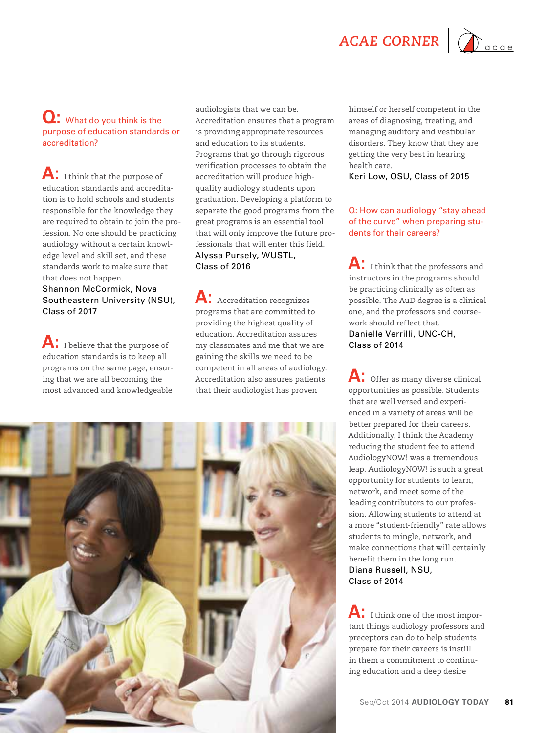ACAE CORNER | **Company** 



#### **Q:** What do you think is the purpose of education standards or accreditation?

**A:** I think that the purpose of education standards and accreditation is to hold schools and students responsible for the knowledge they are required to obtain to join the profession. No one should be practicing audiology without a certain knowledge level and skill set, and these standards work to make sure that that does not happen.

Shannon McCormick, Nova Southeastern University (NSU), Class of 2017

A: I believe that the purpose of education standards is to keep all programs on the same page, ensuring that we are all becoming the most advanced and knowledgeable

audiologists that we can be. Accreditation ensures that a program is providing appropriate resources and education to its students. Programs that go through rigorous verification processes to obtain the accreditation will produce highquality audiology students upon graduation. Developing a platform to separate the good programs from the great programs is an essential tool that will only improve the future professionals that will enter this field. Alyssa Pursely, WUSTL, Class of 2016

A: Accreditation recognizes programs that are committed to providing the highest quality of education. Accreditation assures my classmates and me that we are gaining the skills we need to be competent in all areas of audiology. Accreditation also assures patients that their audiologist has proven

himself or herself competent in the areas of diagnosing, treating, and managing auditory and vestibular disorders. They know that they are getting the very best in hearing health care. Keri Low, OSU, Class of 2015

Q: How can audiology "stay ahead of the curve" when preparing students for their careers?

**A:** I think that the professors and instructors in the programs should be practicing clinically as often as possible. The AuD degree is a clinical one, and the professors and coursework should reflect that. Danielle Verrilli, UNC-CH, Class of 2014

**A:** Offer as many diverse clinical opportunities as possible. Students that are well versed and experienced in a variety of areas will be better prepared for their careers. Additionally, I think the Academy reducing the student fee to attend AudiologyNOW! was a tremendous leap. AudiologyNOW! is such a great opportunity for students to learn, network, and meet some of the leading contributors to our profession. Allowing students to attend at a more "student-friendly" rate allows students to mingle, network, and make connections that will certainly benefit them in the long run. Diana Russell, NSU, Class of 2014

**A:** I think one of the most important things audiology professors and preceptors can do to help students prepare for their careers is instill in them a commitment to continuing education and a deep desire